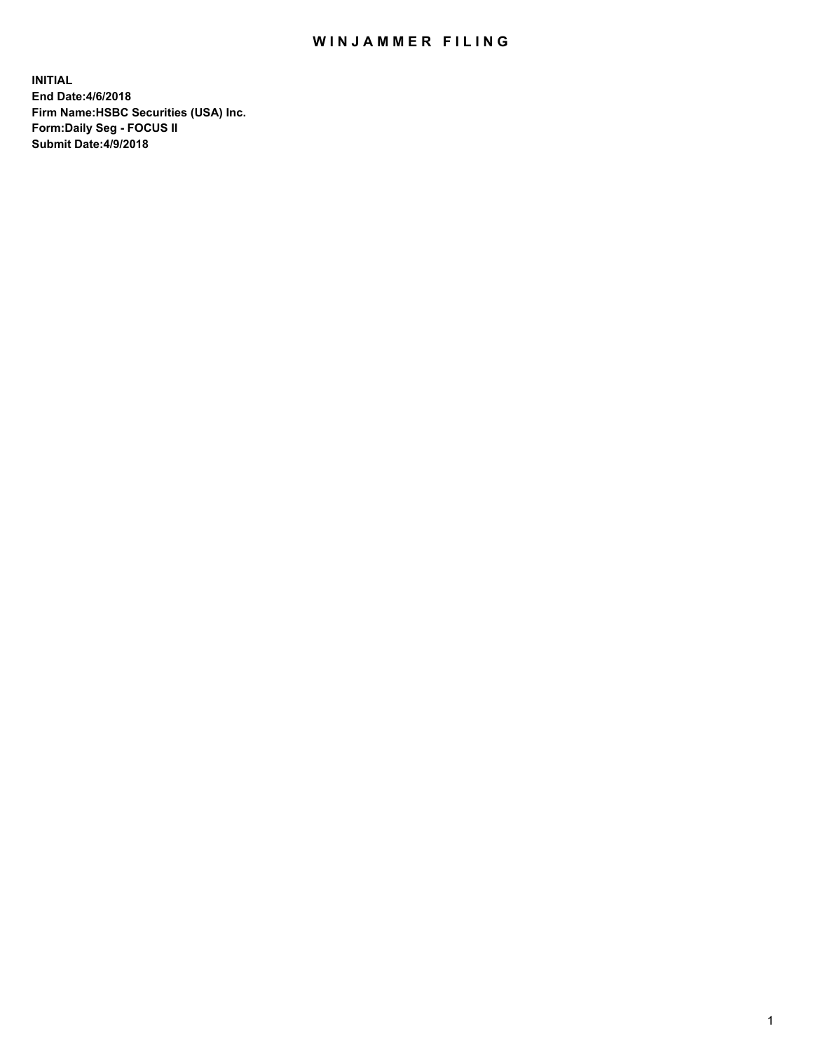## WIN JAMMER FILING

**INITIAL End Date:4/6/2018 Firm Name:HSBC Securities (USA) Inc. Form:Daily Seg - FOCUS II Submit Date:4/9/2018**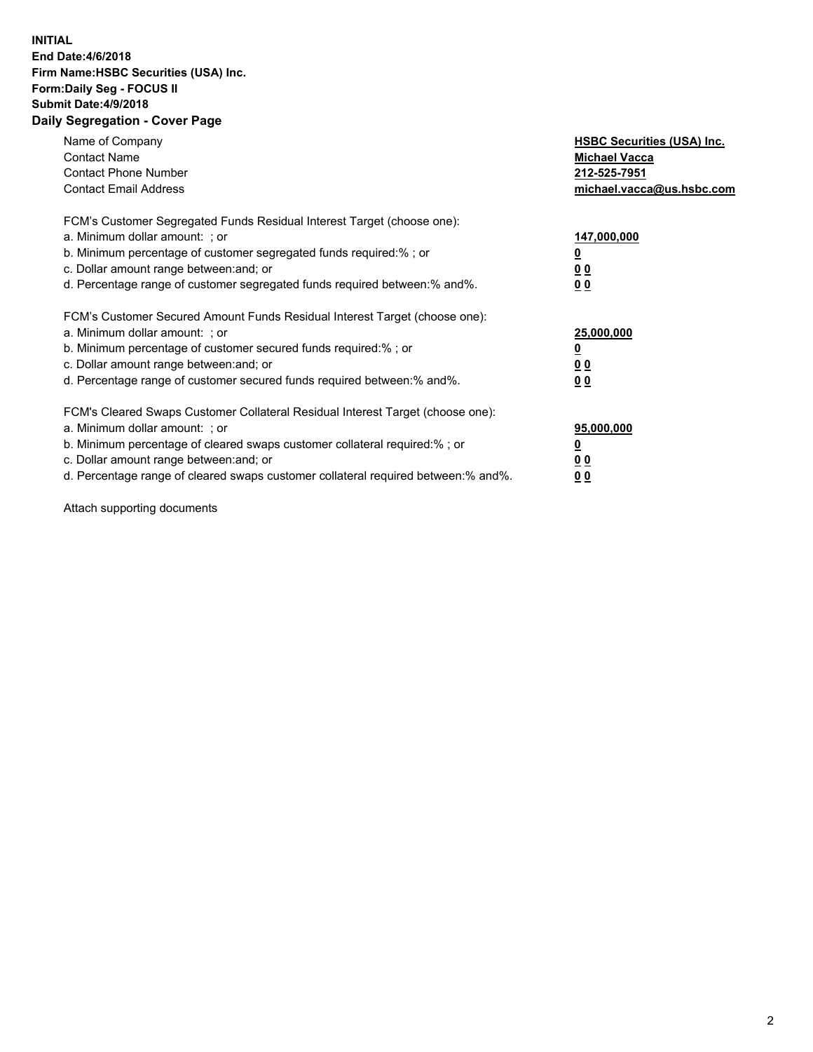## **INITIAL End Date:4/6/2018 Firm Name:HSBC Securities (USA) Inc. Form:Daily Seg - FOCUS II Submit Date:4/9/2018 Daily Segregation - Cover Page**

| Name of Company<br><b>Contact Name</b><br><b>Contact Phone Number</b><br><b>Contact Email Address</b>                                                                                                                                                                                                                          | <b>HSBC Securities (USA) Inc.</b><br><b>Michael Vacca</b><br>212-525-7951<br>michael.vacca@us.hsbc.com |
|--------------------------------------------------------------------------------------------------------------------------------------------------------------------------------------------------------------------------------------------------------------------------------------------------------------------------------|--------------------------------------------------------------------------------------------------------|
| FCM's Customer Segregated Funds Residual Interest Target (choose one):<br>a. Minimum dollar amount: ; or<br>b. Minimum percentage of customer segregated funds required:%; or<br>c. Dollar amount range between: and; or<br>d. Percentage range of customer segregated funds required between:% and%.                          | 147,000,000<br><u>0</u><br><u>00</u><br>00                                                             |
| FCM's Customer Secured Amount Funds Residual Interest Target (choose one):<br>a. Minimum dollar amount: ; or<br>b. Minimum percentage of customer secured funds required:%; or<br>c. Dollar amount range between: and; or<br>d. Percentage range of customer secured funds required between:% and%.                            | 25,000,000<br><u>0</u><br><u>00</u><br>00                                                              |
| FCM's Cleared Swaps Customer Collateral Residual Interest Target (choose one):<br>a. Minimum dollar amount: ; or<br>b. Minimum percentage of cleared swaps customer collateral required:% ; or<br>c. Dollar amount range between: and; or<br>d. Percentage range of cleared swaps customer collateral required between:% and%. | 95,000,000<br><u>0</u><br><u>00</u><br>0 <sub>0</sub>                                                  |

Attach supporting documents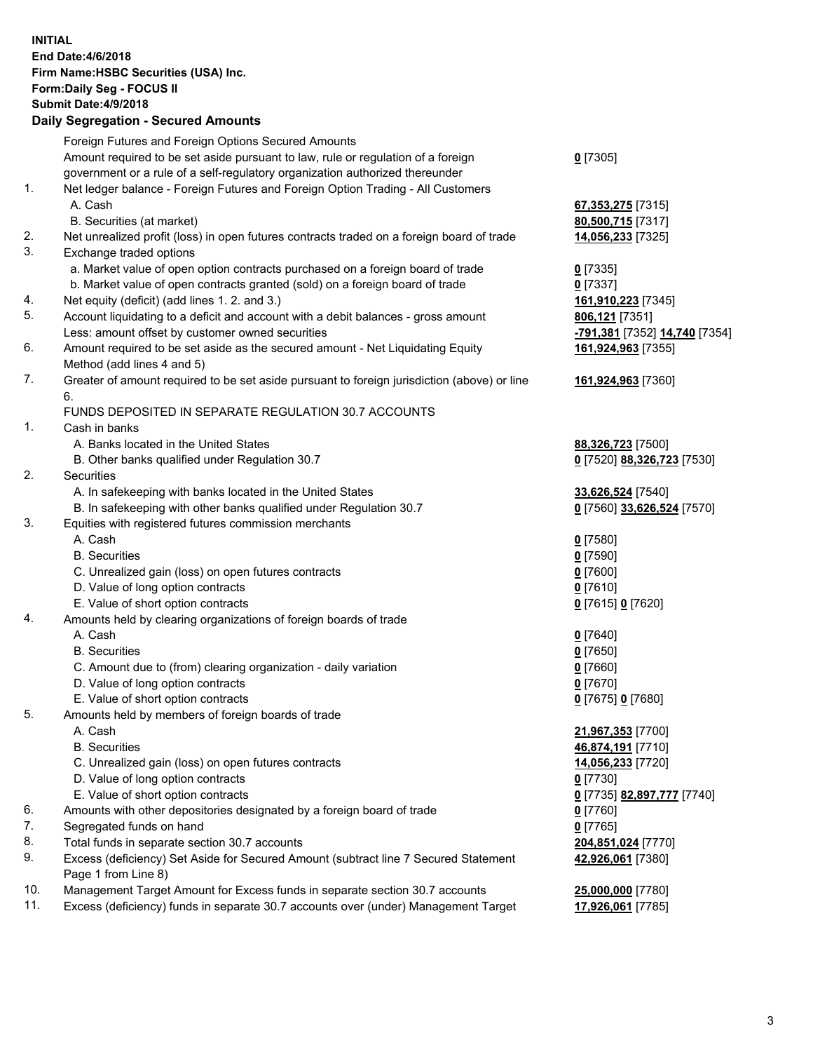**INITIAL End Date:4/6/2018 Firm Name:HSBC Securities (USA) Inc. Form:Daily Seg - FOCUS II Submit Date:4/9/2018 Daily Segregation - Secured Amounts** Foreign Futures and Foreign Options Secured Amounts Amount required to be set aside pursuant to law, rule or regulation of a foreign government or a rule of a self-regulatory organization authorized thereunder **0** [7305] 1. Net ledger balance - Foreign Futures and Foreign Option Trading - All Customers A. Cash **67,353,275** [7315] B. Securities (at market) **80,500,715** [7317] 2. Net unrealized profit (loss) in open futures contracts traded on a foreign board of trade **14,056,233** [7325] 3. Exchange traded options a. Market value of open option contracts purchased on a foreign board of trade **0** [7335] b. Market value of open contracts granted (sold) on a foreign board of trade **0** [7337] 4. Net equity (deficit) (add lines 1. 2. and 3.) **161,910,223** [7345] 5. Account liquidating to a deficit and account with a debit balances - gross amount **806,121** [7351] Less: amount offset by customer owned securities **-791,381** [7352] **14,740** [7354] 6. Amount required to be set aside as the secured amount - Net Liquidating Equity Method (add lines 4 and 5) **161,924,963** [7355] 7. Greater of amount required to be set aside pursuant to foreign jurisdiction (above) or line 6. **161,924,963** [7360] FUNDS DEPOSITED IN SEPARATE REGULATION 30.7 ACCOUNTS 1. Cash in banks A. Banks located in the United States **88,326,723** [7500] B. Other banks qualified under Regulation 30.7 **0** [7520] **88,326,723** [7530] 2. Securities A. In safekeeping with banks located in the United States **33,626,524** [7540] B. In safekeeping with other banks qualified under Regulation 30.7 **0** [7560] **33,626,524** [7570] 3. Equities with registered futures commission merchants A. Cash **0** [7580] B. Securities **0** [7590] C. Unrealized gain (loss) on open futures contracts **0** [7600] D. Value of long option contracts **0** [7610] E. Value of short option contracts **0** [7615] **0** [7620] 4. Amounts held by clearing organizations of foreign boards of trade A. Cash **0** [7640] B. Securities **0** [7650] C. Amount due to (from) clearing organization - daily variation **0** [7660] D. Value of long option contracts **0** [7670] E. Value of short option contracts **0** [7675] **0** [7680] 5. Amounts held by members of foreign boards of trade A. Cash **21,967,353** [7700] B. Securities **46,874,191** [7710] C. Unrealized gain (loss) on open futures contracts **14,056,233** [7720] D. Value of long option contracts **0** [7730] E. Value of short option contracts **0** [7735] **82,897,777** [7740] 6. Amounts with other depositories designated by a foreign board of trade **0** [7760] 7. Segregated funds on hand **0** [7765] 8. Total funds in separate section 30.7 accounts **204,851,024** [7770] 9. Excess (deficiency) Set Aside for Secured Amount (subtract line 7 Secured Statement Page 1 from Line 8) **42,926,061** [7380] 10. Management Target Amount for Excess funds in separate section 30.7 accounts **25,000,000** [7780] 11. Excess (deficiency) funds in separate 30.7 accounts over (under) Management Target **17,926,061** [7785]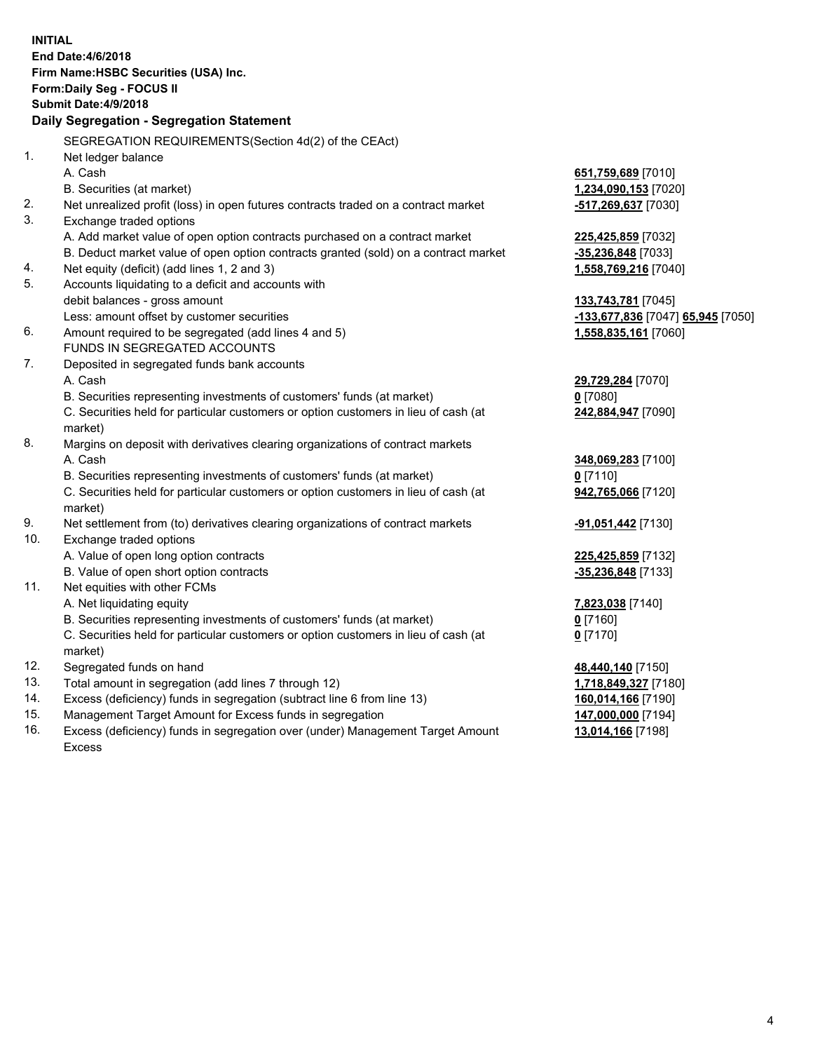| <b>INITIAL</b>                                       |                                                                                           |                                   |  |  |  |
|------------------------------------------------------|-------------------------------------------------------------------------------------------|-----------------------------------|--|--|--|
| End Date: 4/6/2018                                   |                                                                                           |                                   |  |  |  |
| Firm Name: HSBC Securities (USA) Inc.                |                                                                                           |                                   |  |  |  |
| Form: Daily Seg - FOCUS II                           |                                                                                           |                                   |  |  |  |
| Submit Date: 4/9/2018                                |                                                                                           |                                   |  |  |  |
| Daily Segregation - Segregation Statement            |                                                                                           |                                   |  |  |  |
| SEGREGATION REQUIREMENTS(Section 4d(2) of the CEAct) |                                                                                           |                                   |  |  |  |
| $\mathbf{1}$ .                                       | Net ledger balance                                                                        |                                   |  |  |  |
|                                                      | A. Cash                                                                                   | 651,759,689 [7010]                |  |  |  |
|                                                      | B. Securities (at market)                                                                 | 1,234,090,153 [7020]              |  |  |  |
| 2.                                                   | Net unrealized profit (loss) in open futures contracts traded on a contract market        | -517,269,637 [7030]               |  |  |  |
| 3.                                                   | Exchange traded options                                                                   |                                   |  |  |  |
|                                                      | A. Add market value of open option contracts purchased on a contract market               | 225,425,859 [7032]                |  |  |  |
|                                                      | B. Deduct market value of open option contracts granted (sold) on a contract market       | -35,236,848 [7033]                |  |  |  |
| 4.                                                   | Net equity (deficit) (add lines 1, 2 and 3)                                               | 1,558,769,216 [7040]              |  |  |  |
| 5.                                                   | Accounts liquidating to a deficit and accounts with                                       |                                   |  |  |  |
|                                                      | debit balances - gross amount                                                             | 133,743,781 [7045]                |  |  |  |
|                                                      | Less: amount offset by customer securities                                                | -133,677,836 [7047] 65,945 [7050] |  |  |  |
| 6.                                                   | Amount required to be segregated (add lines 4 and 5)                                      | 1,558,835,161 [7060]              |  |  |  |
|                                                      | FUNDS IN SEGREGATED ACCOUNTS                                                              |                                   |  |  |  |
| 7.                                                   | Deposited in segregated funds bank accounts                                               |                                   |  |  |  |
|                                                      | A. Cash                                                                                   | 29,729,284 [7070]                 |  |  |  |
|                                                      | B. Securities representing investments of customers' funds (at market)                    | $0$ [7080]                        |  |  |  |
|                                                      | C. Securities held for particular customers or option customers in lieu of cash (at       | 242,884,947 [7090]                |  |  |  |
| 8.                                                   | market)                                                                                   |                                   |  |  |  |
|                                                      | Margins on deposit with derivatives clearing organizations of contract markets<br>A. Cash | 348,069,283 [7100]                |  |  |  |
|                                                      | B. Securities representing investments of customers' funds (at market)                    | $0$ [7110]                        |  |  |  |
|                                                      | C. Securities held for particular customers or option customers in lieu of cash (at       | 942,765,066 [7120]                |  |  |  |
|                                                      | market)                                                                                   |                                   |  |  |  |
| 9.                                                   | Net settlement from (to) derivatives clearing organizations of contract markets           | -91,051,442 <sup>[7130]</sup>     |  |  |  |
| 10.                                                  | Exchange traded options                                                                   |                                   |  |  |  |
|                                                      | A. Value of open long option contracts                                                    | 225,425,859 [7132]                |  |  |  |
|                                                      | B. Value of open short option contracts                                                   | $-35,236,848$ [7133]              |  |  |  |
| 11.                                                  | Net equities with other FCMs                                                              |                                   |  |  |  |
|                                                      | A. Net liquidating equity                                                                 | 7,823,038 [7140]                  |  |  |  |
|                                                      | B. Securities representing investments of customers' funds (at market)                    | 0 <sup>[7160]</sup>               |  |  |  |
|                                                      | C. Securities held for particular customers or option customers in lieu of cash (at       | $0$ [7170]                        |  |  |  |
|                                                      | market)                                                                                   |                                   |  |  |  |
| 12.                                                  | Segregated funds on hand                                                                  | 48,440,140 [7150]                 |  |  |  |
| 13.                                                  | Total amount in segregation (add lines 7 through 12)                                      | 1,718,849,327 [7180]              |  |  |  |
| 14.                                                  | Excess (deficiency) funds in segregation (subtract line 6 from line 13)                   | 160,014,166 [7190]                |  |  |  |
| 15.                                                  | Management Target Amount for Excess funds in segregation                                  | 147,000,000 [7194]                |  |  |  |

16. Excess (deficiency) funds in segregation over (under) Management Target Amount Excess

**13,014,166** [7198]